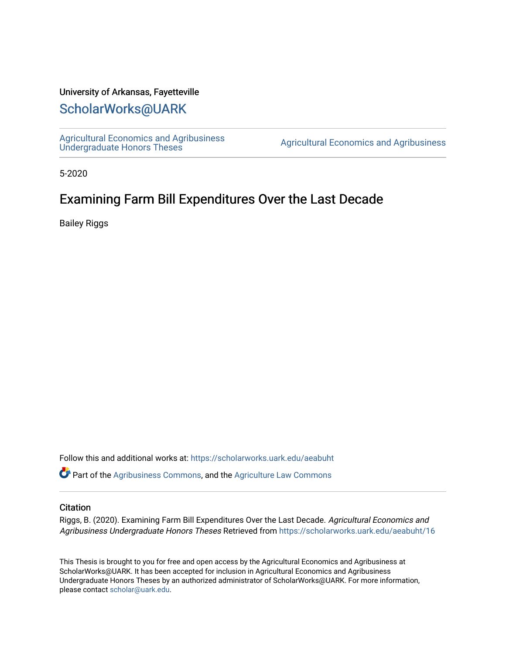#### University of Arkansas, Fayetteville

## [ScholarWorks@UARK](https://scholarworks.uark.edu/)

[Agricultural Economics and Agribusiness](https://scholarworks.uark.edu/aeabuht)<br>Undergraduate Honors Theses

Agricultural Economics and Agribusiness

5-2020

# Examining Farm Bill Expenditures Over the Last Decade

Bailey Riggs

Follow this and additional works at: [https://scholarworks.uark.edu/aeabuht](https://scholarworks.uark.edu/aeabuht?utm_source=scholarworks.uark.edu%2Faeabuht%2F16&utm_medium=PDF&utm_campaign=PDFCoverPages)

Part of the [Agribusiness Commons,](http://network.bepress.com/hgg/discipline/1051?utm_source=scholarworks.uark.edu%2Faeabuht%2F16&utm_medium=PDF&utm_campaign=PDFCoverPages) and the [Agriculture Law Commons](http://network.bepress.com/hgg/discipline/581?utm_source=scholarworks.uark.edu%2Faeabuht%2F16&utm_medium=PDF&utm_campaign=PDFCoverPages) 

#### **Citation**

Riggs, B. (2020). Examining Farm Bill Expenditures Over the Last Decade. Agricultural Economics and Agribusiness Undergraduate Honors Theses Retrieved from [https://scholarworks.uark.edu/aeabuht/16](https://scholarworks.uark.edu/aeabuht/16?utm_source=scholarworks.uark.edu%2Faeabuht%2F16&utm_medium=PDF&utm_campaign=PDFCoverPages) 

This Thesis is brought to you for free and open access by the Agricultural Economics and Agribusiness at ScholarWorks@UARK. It has been accepted for inclusion in Agricultural Economics and Agribusiness Undergraduate Honors Theses by an authorized administrator of ScholarWorks@UARK. For more information, please contact [scholar@uark.edu](mailto:scholar@uark.edu).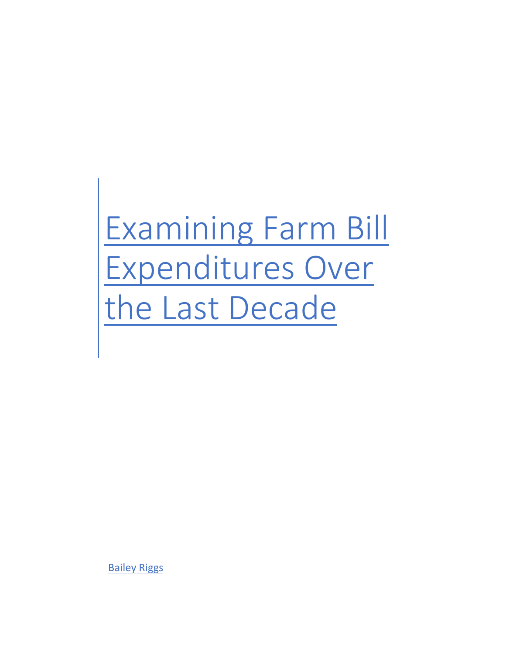# Examining Farm Bill Expenditures Over the Last Decade

Bailey Riggs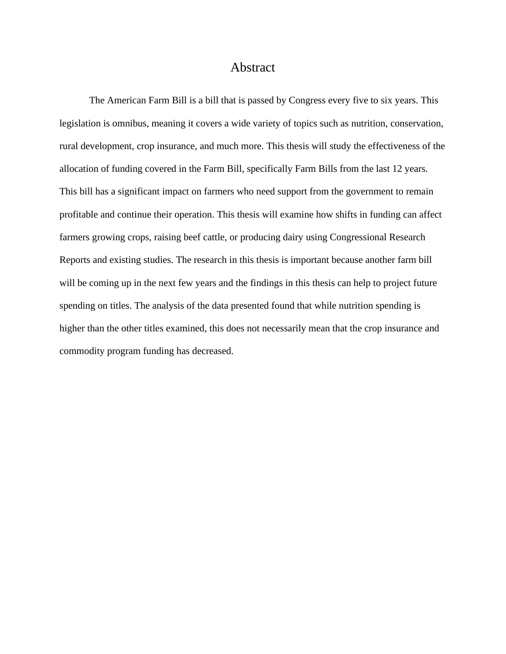## Abstract

<span id="page-3-0"></span>The American Farm Bill is a bill that is passed by Congress every five to six years. This legislation is omnibus, meaning it covers a wide variety of topics such as nutrition, conservation, rural development, crop insurance, and much more. This thesis will study the effectiveness of the allocation of funding covered in the Farm Bill, specifically Farm Bills from the last 12 years. This bill has a significant impact on farmers who need support from the government to remain profitable and continue their operation. This thesis will examine how shifts in funding can affect farmers growing crops, raising beef cattle, or producing dairy using Congressional Research Reports and existing studies. The research in this thesis is important because another farm bill will be coming up in the next few years and the findings in this thesis can help to project future spending on titles. The analysis of the data presented found that while nutrition spending is higher than the other titles examined, this does not necessarily mean that the crop insurance and commodity program funding has decreased.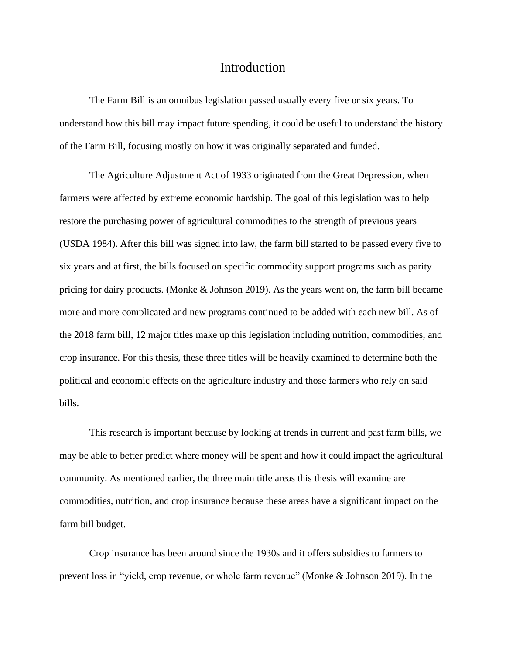## Introduction

<span id="page-4-0"></span>The Farm Bill is an omnibus legislation passed usually every five or six years. To understand how this bill may impact future spending, it could be useful to understand the history of the Farm Bill, focusing mostly on how it was originally separated and funded.

The Agriculture Adjustment Act of 1933 originated from the Great Depression, when farmers were affected by extreme economic hardship. The goal of this legislation was to help restore the purchasing power of agricultural commodities to the strength of previous years (USDA 1984). After this bill was signed into law, the farm bill started to be passed every five to six years and at first, the bills focused on specific commodity support programs such as parity pricing for dairy products. (Monke & Johnson 2019). As the years went on, the farm bill became more and more complicated and new programs continued to be added with each new bill. As of the 2018 farm bill, 12 major titles make up this legislation including nutrition, commodities, and crop insurance. For this thesis, these three titles will be heavily examined to determine both the political and economic effects on the agriculture industry and those farmers who rely on said bills.

This research is important because by looking at trends in current and past farm bills, we may be able to better predict where money will be spent and how it could impact the agricultural community. As mentioned earlier, the three main title areas this thesis will examine are commodities, nutrition, and crop insurance because these areas have a significant impact on the farm bill budget.

Crop insurance has been around since the 1930s and it offers subsidies to farmers to prevent loss in "yield, crop revenue, or whole farm revenue" (Monke & Johnson 2019). In the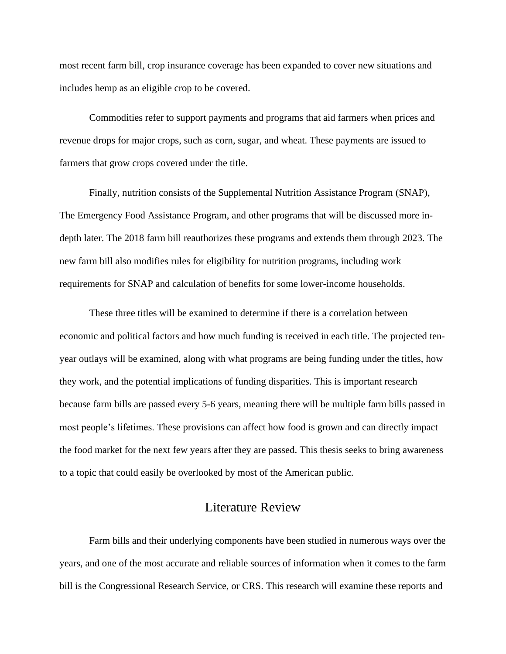most recent farm bill, crop insurance coverage has been expanded to cover new situations and includes hemp as an eligible crop to be covered.

Commodities refer to support payments and programs that aid farmers when prices and revenue drops for major crops, such as corn, sugar, and wheat. These payments are issued to farmers that grow crops covered under the title.

Finally, nutrition consists of the Supplemental Nutrition Assistance Program (SNAP), The Emergency Food Assistance Program, and other programs that will be discussed more indepth later. The 2018 farm bill reauthorizes these programs and extends them through 2023. The new farm bill also modifies rules for eligibility for nutrition programs, including work requirements for SNAP and calculation of benefits for some lower-income households.

These three titles will be examined to determine if there is a correlation between economic and political factors and how much funding is received in each title. The projected tenyear outlays will be examined, along with what programs are being funding under the titles, how they work, and the potential implications of funding disparities. This is important research because farm bills are passed every 5-6 years, meaning there will be multiple farm bills passed in most people's lifetimes. These provisions can affect how food is grown and can directly impact the food market for the next few years after they are passed. This thesis seeks to bring awareness to a topic that could easily be overlooked by most of the American public.

## Literature Review

<span id="page-5-0"></span>Farm bills and their underlying components have been studied in numerous ways over the years, and one of the most accurate and reliable sources of information when it comes to the farm bill is the Congressional Research Service, or CRS. This research will examine these reports and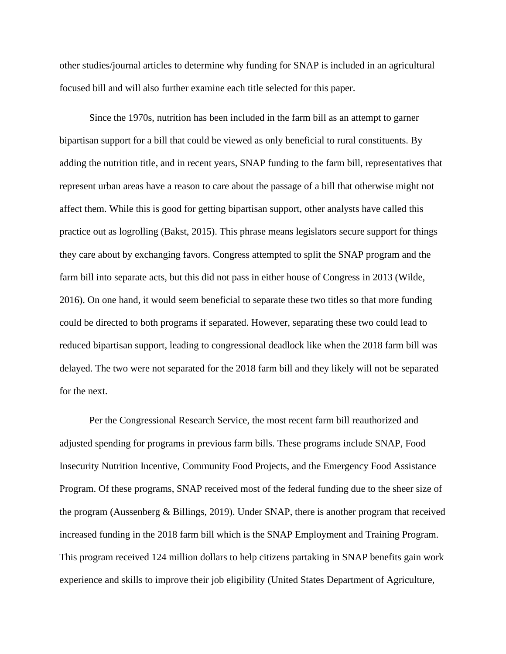other studies/journal articles to determine why funding for SNAP is included in an agricultural focused bill and will also further examine each title selected for this paper.

Since the 1970s, nutrition has been included in the farm bill as an attempt to garner bipartisan support for a bill that could be viewed as only beneficial to rural constituents. By adding the nutrition title, and in recent years, SNAP funding to the farm bill, representatives that represent urban areas have a reason to care about the passage of a bill that otherwise might not affect them. While this is good for getting bipartisan support, other analysts have called this practice out as logrolling (Bakst, 2015). This phrase means legislators secure support for things they care about by exchanging favors. Congress attempted to split the SNAP program and the farm bill into separate acts, but this did not pass in either house of Congress in 2013 (Wilde, 2016). On one hand, it would seem beneficial to separate these two titles so that more funding could be directed to both programs if separated. However, separating these two could lead to reduced bipartisan support, leading to congressional deadlock like when the 2018 farm bill was delayed. The two were not separated for the 2018 farm bill and they likely will not be separated for the next.

Per the Congressional Research Service, the most recent farm bill reauthorized and adjusted spending for programs in previous farm bills. These programs include SNAP, Food Insecurity Nutrition Incentive, Community Food Projects, and the Emergency Food Assistance Program. Of these programs, SNAP received most of the federal funding due to the sheer size of the program (Aussenberg & Billings, 2019). Under SNAP, there is another program that received increased funding in the 2018 farm bill which is the SNAP Employment and Training Program. This program received 124 million dollars to help citizens partaking in SNAP benefits gain work experience and skills to improve their job eligibility (United States Department of Agriculture,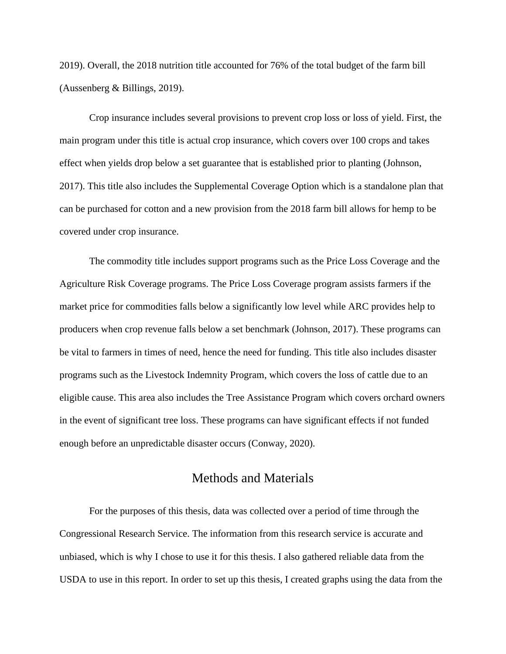2019). Overall, the 2018 nutrition title accounted for 76% of the total budget of the farm bill (Aussenberg & Billings, 2019).

Crop insurance includes several provisions to prevent crop loss or loss of yield. First, the main program under this title is actual crop insurance, which covers over 100 crops and takes effect when yields drop below a set guarantee that is established prior to planting (Johnson, 2017). This title also includes the Supplemental Coverage Option which is a standalone plan that can be purchased for cotton and a new provision from the 2018 farm bill allows for hemp to be covered under crop insurance.

The commodity title includes support programs such as the Price Loss Coverage and the Agriculture Risk Coverage programs. The Price Loss Coverage program assists farmers if the market price for commodities falls below a significantly low level while ARC provides help to producers when crop revenue falls below a set benchmark (Johnson, 2017). These programs can be vital to farmers in times of need, hence the need for funding. This title also includes disaster programs such as the Livestock Indemnity Program, which covers the loss of cattle due to an eligible cause. This area also includes the Tree Assistance Program which covers orchard owners in the event of significant tree loss. These programs can have significant effects if not funded enough before an unpredictable disaster occurs (Conway, 2020).

## Methods and Materials

<span id="page-7-0"></span>For the purposes of this thesis, data was collected over a period of time through the Congressional Research Service. The information from this research service is accurate and unbiased, which is why I chose to use it for this thesis. I also gathered reliable data from the USDA to use in this report. In order to set up this thesis, I created graphs using the data from the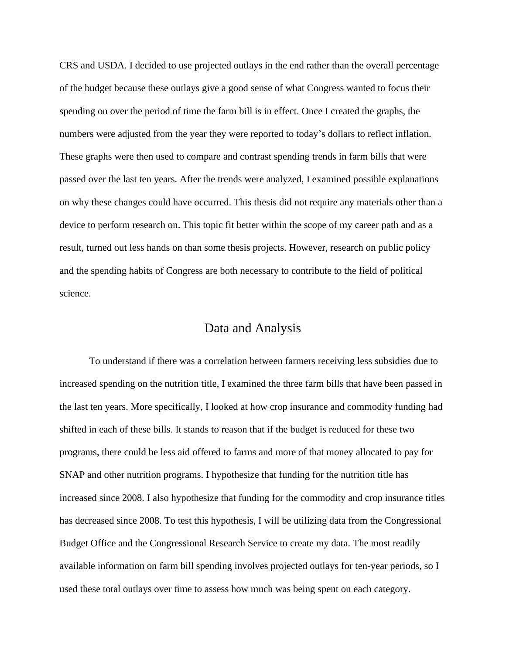CRS and USDA. I decided to use projected outlays in the end rather than the overall percentage of the budget because these outlays give a good sense of what Congress wanted to focus their spending on over the period of time the farm bill is in effect. Once I created the graphs, the numbers were adjusted from the year they were reported to today's dollars to reflect inflation. These graphs were then used to compare and contrast spending trends in farm bills that were passed over the last ten years. After the trends were analyzed, I examined possible explanations on why these changes could have occurred. This thesis did not require any materials other than a device to perform research on. This topic fit better within the scope of my career path and as a result, turned out less hands on than some thesis projects. However, research on public policy and the spending habits of Congress are both necessary to contribute to the field of political science.

## Data and Analysis

<span id="page-8-0"></span>To understand if there was a correlation between farmers receiving less subsidies due to increased spending on the nutrition title, I examined the three farm bills that have been passed in the last ten years. More specifically, I looked at how crop insurance and commodity funding had shifted in each of these bills. It stands to reason that if the budget is reduced for these two programs, there could be less aid offered to farms and more of that money allocated to pay for SNAP and other nutrition programs. I hypothesize that funding for the nutrition title has increased since 2008. I also hypothesize that funding for the commodity and crop insurance titles has decreased since 2008. To test this hypothesis, I will be utilizing data from the Congressional Budget Office and the Congressional Research Service to create my data. The most readily available information on farm bill spending involves projected outlays for ten-year periods, so I used these total outlays over time to assess how much was being spent on each category.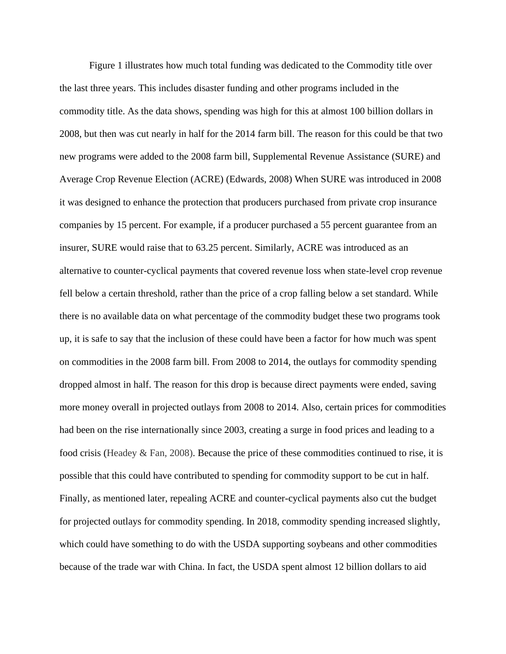Figure 1 illustrates how much total funding was dedicated to the Commodity title over the last three years. This includes disaster funding and other programs included in the commodity title. As the data shows, spending was high for this at almost 100 billion dollars in 2008, but then was cut nearly in half for the 2014 farm bill. The reason for this could be that two new programs were added to the 2008 farm bill, Supplemental Revenue Assistance (SURE) and Average Crop Revenue Election (ACRE) (Edwards, 2008) When SURE was introduced in 2008 it was designed to enhance the protection that producers purchased from private crop insurance companies by 15 percent. For example, if a producer purchased a 55 percent guarantee from an insurer, SURE would raise that to 63.25 percent. Similarly, ACRE was introduced as an alternative to counter-cyclical payments that covered revenue loss when state-level crop revenue fell below a certain threshold, rather than the price of a crop falling below a set standard. While there is no available data on what percentage of the commodity budget these two programs took up, it is safe to say that the inclusion of these could have been a factor for how much was spent on commodities in the 2008 farm bill. From 2008 to 2014, the outlays for commodity spending dropped almost in half. The reason for this drop is because direct payments were ended, saving more money overall in projected outlays from 2008 to 2014. Also, certain prices for commodities had been on the rise internationally since 2003, creating a surge in food prices and leading to a food crisis (Headey & Fan, 2008). Because the price of these commodities continued to rise, it is possible that this could have contributed to spending for commodity support to be cut in half. Finally, as mentioned later, repealing ACRE and counter-cyclical payments also cut the budget for projected outlays for commodity spending. In 2018, commodity spending increased slightly, which could have something to do with the USDA supporting soybeans and other commodities because of the trade war with China. In fact, the USDA spent almost 12 billion dollars to aid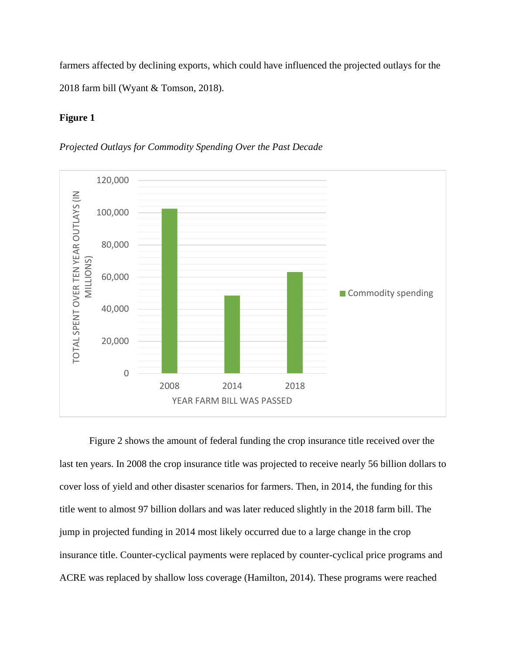farmers affected by declining exports, which could have influenced the projected outlays for the 2018 farm bill (Wyant & Tomson, 2018).

#### **Figure 1**





Figure 2 shows the amount of federal funding the crop insurance title received over the last ten years. In 2008 the crop insurance title was projected to receive nearly 56 billion dollars to cover loss of yield and other disaster scenarios for farmers. Then, in 2014, the funding for this title went to almost 97 billion dollars and was later reduced slightly in the 2018 farm bill. The jump in projected funding in 2014 most likely occurred due to a large change in the crop insurance title. Counter-cyclical payments were replaced by counter-cyclical price programs and ACRE was replaced by shallow loss coverage (Hamilton, 2014). These programs were reached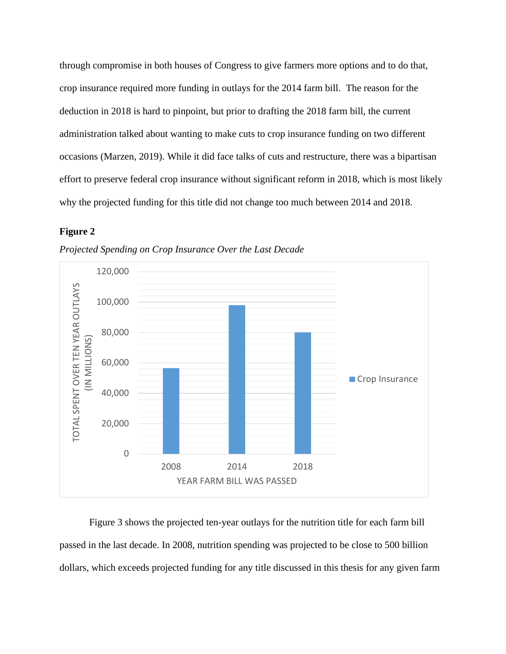through compromise in both houses of Congress to give farmers more options and to do that, crop insurance required more funding in outlays for the 2014 farm bill. The reason for the deduction in 2018 is hard to pinpoint, but prior to drafting the 2018 farm bill, the current administration talked about wanting to make cuts to crop insurance funding on two different occasions (Marzen, 2019). While it did face talks of cuts and restructure, there was a bipartisan effort to preserve federal crop insurance without significant reform in 2018, which is most likely why the projected funding for this title did not change too much between 2014 and 2018.

#### **Figure 2**



*Projected Spending on Crop Insurance Over the Last Decade*

Figure 3 shows the projected ten-year outlays for the nutrition title for each farm bill passed in the last decade. In 2008, nutrition spending was projected to be close to 500 billion dollars, which exceeds projected funding for any title discussed in this thesis for any given farm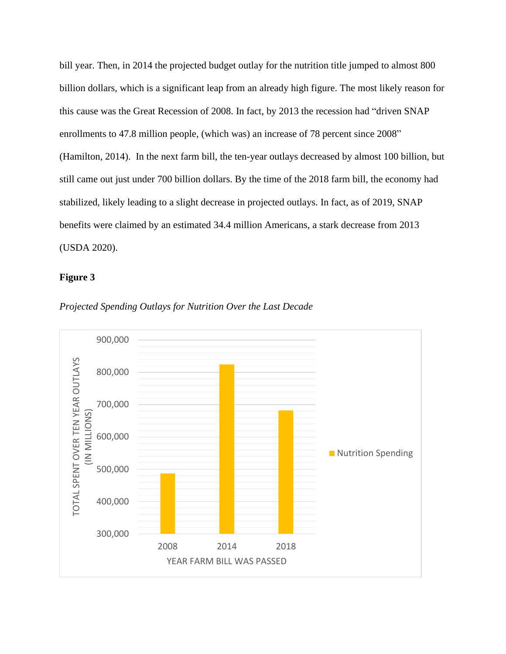bill year. Then, in 2014 the projected budget outlay for the nutrition title jumped to almost 800 billion dollars, which is a significant leap from an already high figure. The most likely reason for this cause was the Great Recession of 2008. In fact, by 2013 the recession had "driven SNAP enrollments to 47.8 million people, (which was) an increase of 78 percent since 2008" (Hamilton, 2014). In the next farm bill, the ten-year outlays decreased by almost 100 billion, but still came out just under 700 billion dollars. By the time of the 2018 farm bill, the economy had stabilized, likely leading to a slight decrease in projected outlays. In fact, as of 2019, SNAP benefits were claimed by an estimated 34.4 million Americans, a stark decrease from 2013 (USDA 2020).

#### **Figure 3**



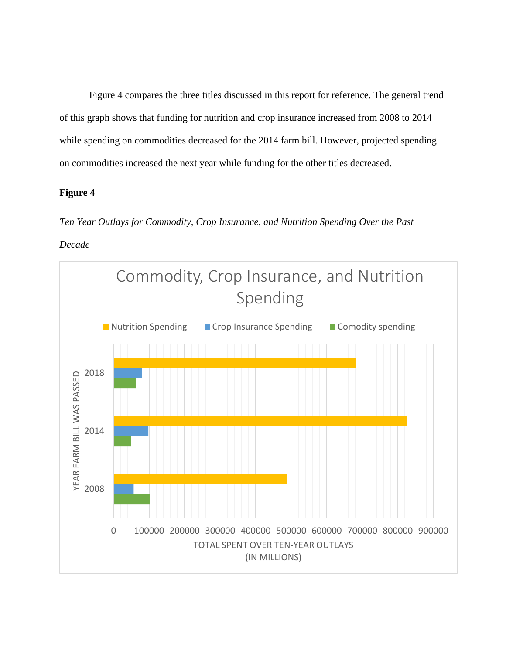Figure 4 compares the three titles discussed in this report for reference. The general trend of this graph shows that funding for nutrition and crop insurance increased from 2008 to 2014 while spending on commodities decreased for the 2014 farm bill. However, projected spending on commodities increased the next year while funding for the other titles decreased.

#### **Figure 4**

*Ten Year Outlays for Commodity, Crop Insurance, and Nutrition Spending Over the Past* 

*Decade* 

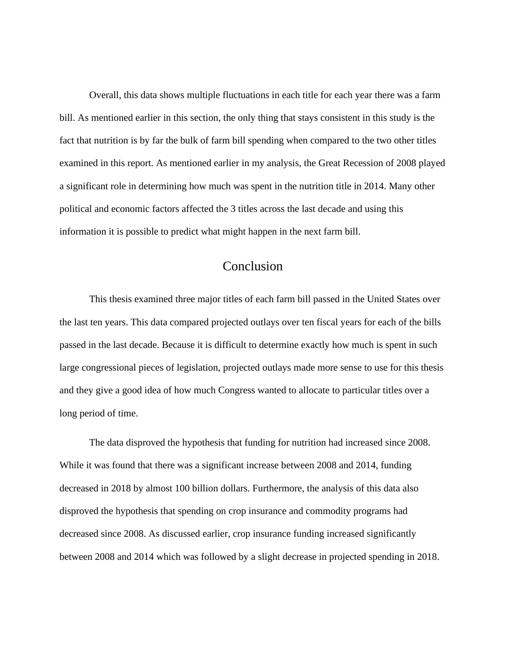Overall, this data shows multiple fluctuations in each title for each year there was a farm bill. As mentioned earlier in this section, the only thing that stays consistent in this study is the fact that nutrition is by far the bulk of farm bill spending when compared to the two other titles examined in this report. As mentioned earlier in my analysis, the Great Recession of 2008 played a significant role in determining how much was spent in the nutrition title in 2014. Many other political and economic factors affected the 3 titles across the last decade and using this information it is possible to predict what might happen in the next farm bill.

## Conclusion

<span id="page-14-0"></span>This thesis examined three major titles of each farm bill passed in the United States over the last ten years. This data compared projected outlays over ten fiscal years for each of the bills passed in the last decade. Because it is difficult to determine exactly how much is spent in such large congressional pieces of legislation, projected outlays made more sense to use for this thesis and they give a good idea of how much Congress wanted to allocate to particular titles over a long period of time.

The data disproved the hypothesis that funding for nutrition had increased since 2008. While it was found that there was a significant increase between 2008 and 2014, funding decreased in 2018 by almost 100 billion dollars. Furthermore, the analysis of this data also disproved the hypothesis that spending on crop insurance and commodity programs had decreased since 2008. As discussed earlier, crop insurance funding increased significantly between 2008 and 2014 which was followed by a slight decrease in projected spending in 2018.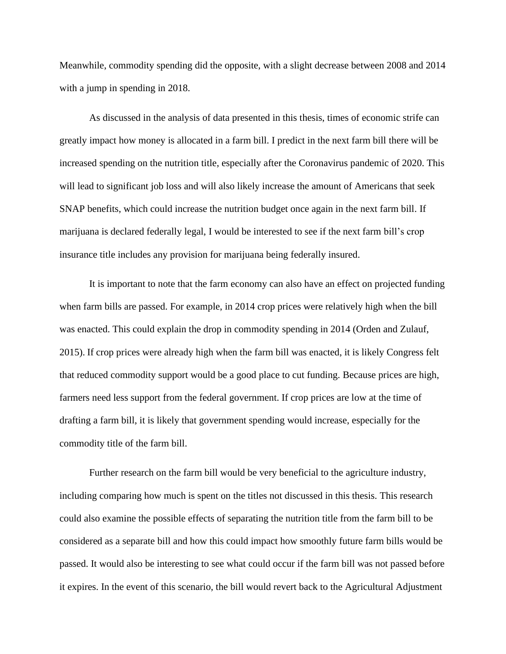Meanwhile, commodity spending did the opposite, with a slight decrease between 2008 and 2014 with a jump in spending in 2018.

As discussed in the analysis of data presented in this thesis, times of economic strife can greatly impact how money is allocated in a farm bill. I predict in the next farm bill there will be increased spending on the nutrition title, especially after the Coronavirus pandemic of 2020. This will lead to significant job loss and will also likely increase the amount of Americans that seek SNAP benefits, which could increase the nutrition budget once again in the next farm bill. If marijuana is declared federally legal, I would be interested to see if the next farm bill's crop insurance title includes any provision for marijuana being federally insured.

It is important to note that the farm economy can also have an effect on projected funding when farm bills are passed. For example, in 2014 crop prices were relatively high when the bill was enacted. This could explain the drop in commodity spending in 2014 (Orden and Zulauf, 2015). If crop prices were already high when the farm bill was enacted, it is likely Congress felt that reduced commodity support would be a good place to cut funding. Because prices are high, farmers need less support from the federal government. If crop prices are low at the time of drafting a farm bill, it is likely that government spending would increase, especially for the commodity title of the farm bill.

Further research on the farm bill would be very beneficial to the agriculture industry, including comparing how much is spent on the titles not discussed in this thesis. This research could also examine the possible effects of separating the nutrition title from the farm bill to be considered as a separate bill and how this could impact how smoothly future farm bills would be passed. It would also be interesting to see what could occur if the farm bill was not passed before it expires. In the event of this scenario, the bill would revert back to the Agricultural Adjustment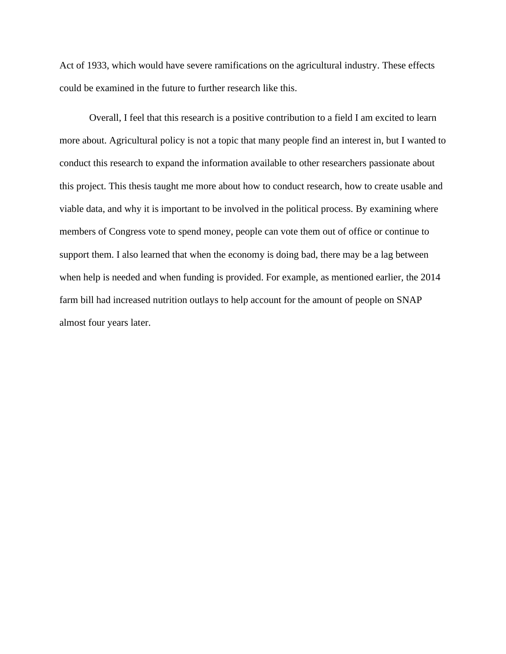Act of 1933, which would have severe ramifications on the agricultural industry. These effects could be examined in the future to further research like this.

Overall, I feel that this research is a positive contribution to a field I am excited to learn more about. Agricultural policy is not a topic that many people find an interest in, but I wanted to conduct this research to expand the information available to other researchers passionate about this project. This thesis taught me more about how to conduct research, how to create usable and viable data, and why it is important to be involved in the political process. By examining where members of Congress vote to spend money, people can vote them out of office or continue to support them. I also learned that when the economy is doing bad, there may be a lag between when help is needed and when funding is provided. For example, as mentioned earlier, the 2014 farm bill had increased nutrition outlays to help account for the amount of people on SNAP almost four years later.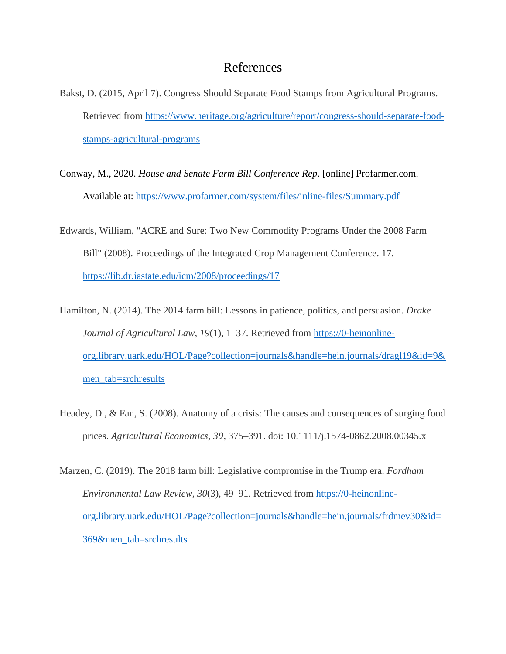## References

- <span id="page-17-0"></span>Bakst, D. (2015, April 7). Congress Should Separate Food Stamps from Agricultural Programs. Retrieved from [https://www.heritage.org/agriculture/report/congress-should-separate-food](https://www.heritage.org/agriculture/report/congress-should-separate-food-stamps-agricultural-programs)[stamps-agricultural-programs](https://www.heritage.org/agriculture/report/congress-should-separate-food-stamps-agricultural-programs)
- Conway, M., 2020. *House and Senate Farm Bill Conference Rep*. [online] Profarmer.com. Available at:<https://www.profarmer.com/system/files/inline-files/Summary.pdf>
- Edwards, William, "ACRE and Sure: Two New Commodity Programs Under the 2008 Farm Bill" (2008). Proceedings of the Integrated Crop Management Conference. 17. <https://lib.dr.iastate.edu/icm/2008/proceedings/17>
- Hamilton, N. (2014). The 2014 farm bill: Lessons in patience, politics, and persuasion. *Drake Journal of Agricultural Law*, *19*(1), 1–37. Retrieved from [https://0-heinonline](https://0-heinonline-org.library.uark.edu/HOL/Page?collection=journals&handle=hein.journals/dragl19&id=9&men_tab=srchresults)[org.library.uark.edu/HOL/Page?collection=journals&handle=hein.journals/dragl19&id=9&](https://0-heinonline-org.library.uark.edu/HOL/Page?collection=journals&handle=hein.journals/dragl19&id=9&men_tab=srchresults) [men\\_tab=srchresults](https://0-heinonline-org.library.uark.edu/HOL/Page?collection=journals&handle=hein.journals/dragl19&id=9&men_tab=srchresults)
- Headey, D., & Fan, S. (2008). Anatomy of a crisis: The causes and consequences of surging food prices. *Agricultural Economics*, *39*, 375–391. doi: 10.1111/j.1574-0862.2008.00345.x
- Marzen, C. (2019). The 2018 farm bill: Legislative compromise in the Trump era. *Fordham Environmental Law Review*, *30*(3), 49–91. Retrieved from [https://0-heinonline](https://0-heinonline-org.library.uark.edu/HOL/Page?collection=journals&handle=hein.journals/frdmev30&id=369&men_tab=srchresults)[org.library.uark.edu/HOL/Page?collection=journals&handle=hein.journals/frdmev30&id=](https://0-heinonline-org.library.uark.edu/HOL/Page?collection=journals&handle=hein.journals/frdmev30&id=369&men_tab=srchresults) [369&men\\_tab=srchresults](https://0-heinonline-org.library.uark.edu/HOL/Page?collection=journals&handle=hein.journals/frdmev30&id=369&men_tab=srchresults)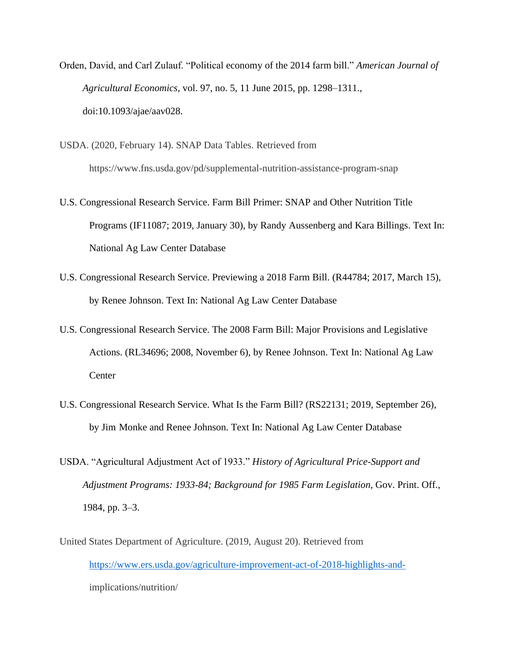- Orden, David, and Carl Zulauf. "Political economy of the 2014 farm bill." *American Journal of Agricultural Economics*, vol. 97, no. 5, 11 June 2015, pp. 1298–1311., doi:10.1093/ajae/aav028.
- USDA. (2020, February 14). SNAP Data Tables. Retrieved from https://www.fns.usda.gov/pd/supplemental-nutrition-assistance-program-snap
- U.S. Congressional Research Service. Farm Bill Primer: SNAP and Other Nutrition Title Programs (IF11087; 2019, January 30), by Randy Aussenberg and Kara Billings. Text In: National Ag Law Center Database
- U.S. Congressional Research Service. Previewing a 2018 Farm Bill. (R44784; 2017, March 15), by Renee Johnson. Text In: National Ag Law Center Database
- U.S. Congressional Research Service. The 2008 Farm Bill: Major Provisions and Legislative Actions. (RL34696; 2008, November 6), by Renee Johnson. Text In: National Ag Law **Center**
- U.S. Congressional Research Service. What Is the Farm Bill? (RS22131; 2019, September 26), by Jim Monke and Renee Johnson. Text In: National Ag Law Center Database
- USDA. "Agricultural Adjustment Act of 1933." *History of Agricultural Price-Support and Adjustment Programs: 1933-84; Background for 1985 Farm Legislation*, Gov. Print. Off., 1984, pp. 3–3.
- United States Department of Agriculture. (2019, August 20). Retrieved from [https://www.ers.usda.gov/agriculture-improvement-act-of-2018-highlights-and](https://www.ers.usda.gov/agriculture-improvement-act-of-2018-highlights-and-)implications/nutrition/